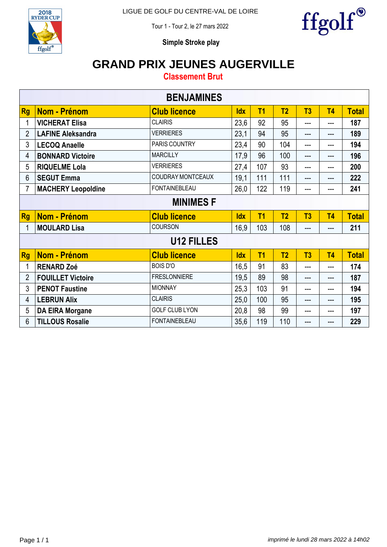

Tour 1 - Tour 2, le 27 mars 2022



**Simple Stroke play**

## **GRAND PRIX JEUNES AUGERVILLE**

**Classement Brut**

|                |                           | <b>BENJAMINES</b>        |            |                |                |                |                |              |  |  |
|----------------|---------------------------|--------------------------|------------|----------------|----------------|----------------|----------------|--------------|--|--|
| <b>Rg</b>      | <b>Nom - Prénom</b>       | <b>Club licence</b>      | <b>Idx</b> | T <sub>1</sub> | T <sub>2</sub> | T3             | T <sub>4</sub> | <b>Total</b> |  |  |
| 1              | <b>VICHERAT Elisa</b>     | <b>CLAIRIS</b>           | 23,6       | 92             | 95             | ---            | ---            | 187          |  |  |
| $\overline{2}$ | <b>LAFINE Aleksandra</b>  | <b>VERRIERES</b>         | 23,1       | 94             | 95             | ---            | ---            | 189          |  |  |
| 3              | <b>LECOQ Anaelle</b>      | PARIS COUNTRY            | 23,4       | 90             | 104            | ---            | $---$          | 194          |  |  |
| 4              | <b>BONNARD Victoire</b>   | <b>MARCILLY</b>          | 17,9       | 96             | 100            | ---            | $---$          | 196          |  |  |
| 5              | <b>RIQUELME Lola</b>      | <b>VERRIERES</b>         | 27,4       | 107            | 93             | ---            | $---$          | 200          |  |  |
| 6              | <b>SEGUT Emma</b>         | <b>COUDRAY MONTCEAUX</b> | 19,1       | 111            | 111            | ---            | ---            | 222          |  |  |
| 7              | <b>MACHERY Leopoldine</b> | <b>FONTAINEBLEAU</b>     | 26,0       | 122            | 119            | ---            | $---$          | 241          |  |  |
|                | <b>MINIMES F</b>          |                          |            |                |                |                |                |              |  |  |
|                |                           |                          |            |                |                |                |                |              |  |  |
| <b>Rg</b>      | <b>Nom - Prénom</b>       | <b>Club licence</b>      | <b>Idx</b> | T <sub>1</sub> | T <sub>2</sub> | T <sub>3</sub> | T <sub>4</sub> | <b>Total</b> |  |  |
| 1              | <b>MOULARD Lisa</b>       | <b>COURSON</b>           | 16,9       | 103            | 108            | ---            | $---$          | 211          |  |  |
|                |                           | <b>U12 FILLES</b>        |            |                |                |                |                |              |  |  |
| <b>Rg</b>      | Nom - Prénom              | <b>Club licence</b>      | <b>Idx</b> | T <sub>1</sub> | T <sub>2</sub> | T3             | T <sub>4</sub> | <b>Total</b> |  |  |
| 1              | <b>RENARD Zoé</b>         | <b>BOIS D'O</b>          | 16,5       | 91             | 83             | ---            | ---            | 174          |  |  |
| $\overline{2}$ | <b>FOUILLET Victoire</b>  | <b>FRESLONNIERE</b>      | 19,5       | 89             | 98             | ---            | $---$          | 187          |  |  |
| 3              | <b>PENOT Faustine</b>     | <b>MIONNAY</b>           | 25,3       | 103            | 91             | ---            | ---            | 194          |  |  |
| 4              | <b>LEBRUN Alix</b>        | <b>CLAIRIS</b>           | 25,0       | 100            | 95             | ---            | ---            | 195          |  |  |
| 5              | <b>DA EIRA Morgane</b>    | <b>GOLF CLUB LYON</b>    | 20,8       | 98             | 99             | ---            | $---$          | 197          |  |  |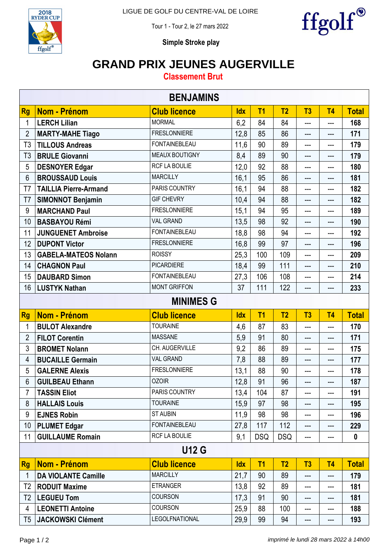

Tour 1 - Tour 2, le 27 mars 2022



**Simple Stroke play**

## **GRAND PRIX JEUNES AUGERVILLE**

### **Classement Brut**

| <b>BENJAMINS</b> |                              |                      |            |                |                |     |                            |              |  |
|------------------|------------------------------|----------------------|------------|----------------|----------------|-----|----------------------------|--------------|--|
| <b>Rg</b>        | <b>Nom - Prénom</b>          | <b>Club licence</b>  | <b>Idx</b> | T <sub>1</sub> | T <sub>2</sub> | T3  | T <sub>4</sub>             | <b>Total</b> |  |
| 1                | <b>LERCH Lilian</b>          | <b>MORMAL</b>        | 6,2        | 84             | 84             | --- | ---                        | 168          |  |
| $\overline{2}$   | <b>MARTY-MAHE Tiago</b>      | <b>FRESLONNIERE</b>  | 12,8       | 85             | 86             | --- | $\qquad \qquad \text{---}$ | 171          |  |
| T <sub>3</sub>   | <b>TILLOUS Andreas</b>       | <b>FONTAINEBLEAU</b> | 11,6       | 90             | 89             | --- | ---                        | 179          |  |
| T <sub>3</sub>   | <b>BRULE Giovanni</b>        | MEAUX BOUTIGNY       | 8,4        | 89             | 90             | --- | $\qquad \qquad \text{---}$ | 179          |  |
| 5                | <b>DESNOYER Edgar</b>        | RCF LA BOULIE        | 12,0       | 92             | 88             | --- | ---                        | 180          |  |
| $6\phantom{1}$   | <b>BROUSSAUD Louis</b>       | <b>MARCILLY</b>      | 16,1       | 95             | 86             | --- | $---$                      | 181          |  |
| T7               | <b>TAILLIA Pierre-Armand</b> | PARIS COUNTRY        | 16,1       | 94             | 88             | --- | ---                        | 182          |  |
| T7               | <b>SIMONNOT Benjamin</b>     | <b>GIF CHEVRY</b>    | 10,4       | 94             | 88             | --- | ---                        | 182          |  |
| 9                | <b>MARCHAND Paul</b>         | <b>FRESLONNIERE</b>  | 15,1       | 94             | 95             | --- | $---$                      | 189          |  |
| 10               | <b>BASBAYOU Rémi</b>         | <b>VAL GRAND</b>     | 13,5       | 98             | 92             | --- | ---                        | 190          |  |
| 11               | <b>JUNGUENET Ambroise</b>    | <b>FONTAINEBLEAU</b> | 18,8       | 98             | 94             | --- | ---                        | 192          |  |
| 12               | <b>DUPONT Victor</b>         | <b>FRESLONNIERE</b>  | 16,8       | 99             | 97             | --- | $---$                      | 196          |  |
| 13               | <b>GABELA-MATEOS Nolann</b>  | <b>ROISSY</b>        | 25,3       | 100            | 109            | --- | ---                        | 209          |  |
| 14               | <b>CHAGNON Paul</b>          | <b>PICARDIERE</b>    | 18,4       | 99             | 111            | --- | ---                        | 210          |  |
| 15               | <b>DAUBARD Simon</b>         | <b>FONTAINEBLEAU</b> | 27,3       | 106            | 108            | --- | ---                        | 214          |  |
| 16               | <b>LUSTYK Nathan</b>         | <b>MONT GRIFFON</b>  | 37         | 111            | 122            | --- | ---                        | 233          |  |
|                  | <b>MINIMES G</b>             |                      |            |                |                |     |                            |              |  |
|                  |                              |                      |            |                |                |     |                            |              |  |
| <b>Rg</b>        | <b>Nom - Prénom</b>          | <b>Club licence</b>  | <b>Idx</b> | T <sub>1</sub> | T <sub>2</sub> | T3  | T <sub>4</sub>             | <b>Total</b> |  |
|                  | <b>BULOT Alexandre</b>       | <b>TOURAINE</b>      | 4,6        | 87             | 83             | --- | $\overline{a}$             | 170          |  |
| $\overline{2}$   | <b>FILOT Corentin</b>        | <b>MASSANE</b>       | 5,9        | 91             | 80             | --- | ---                        | 171          |  |
| 3                | <b>BROMET Nolann</b>         | CH. AUGERVILLE       | 9,2        | 86             | 89             | --- | ---                        | 175          |  |
| 4                | <b>BUCAILLE Germain</b>      | <b>VAL GRAND</b>     | 7,8        | 88             | 89             | --- | $---$                      | 177          |  |
| 5                | <b>GALERNE Alexis</b>        | <b>FRESLONNIERE</b>  | 13,1       | 88             | 90             | --- | ---                        | 178          |  |
| 6                | <b>GUILBEAU Ethann</b>       | <b>OZOIR</b>         | 12,8       | 91             | 96             | --- | $---$                      | 187          |  |
| 7                | <b>TASSIN Eliot</b>          | PARIS COUNTRY        | 13,4       | 104            | 87             |     | ---                        | 191          |  |
| 8                | <b>HALLAIS Louis</b>         | <b>TOURAINE</b>      | 15,9       | 97             | 98             | --- | $---$                      | 195          |  |
| 9                | <b>EJNES Robin</b>           | <b>ST AUBIN</b>      | 11,9       | 98             | 98             | --- | $---$                      | 196          |  |
| 10 <sup>°</sup>  | <b>PLUMET Edgar</b>          | <b>FONTAINEBLEAU</b> | 27,8       | 117            | 112            | --- | $---$                      | 229          |  |
| 11               | <b>GUILLAUME Romain</b>      | RCF LA BOULIE        | 9,1        | <b>DSQ</b>     | <b>DSQ</b>     | --- | $---$                      | $\mathbf 0$  |  |
|                  |                              | <b>U12 G</b>         |            |                |                |     |                            |              |  |
| <b>Rg</b>        | <b>Nom - Prénom</b>          | <b>Club licence</b>  | <b>Idx</b> | T1             | T <sub>2</sub> | T3  | T <sub>4</sub>             | <b>Total</b> |  |
| 1                | <b>DA VIOLANTE Camille</b>   | <b>MARCILLY</b>      | 21,7       | 90             | 89             | --- | $\qquad \qquad \text{---}$ | 179          |  |
| T <sub>2</sub>   | <b>RODUIT Maxime</b>         | <b>ETRANGER</b>      | 13,8       | 92             | 89             | --- | $---$                      | 181          |  |
| T <sub>2</sub>   | <b>LEGUEU Tom</b>            | COURSON              | 17,3       | 91             | 90             | --- | ---                        | 181          |  |
| 4                | <b>LEONETTI Antoine</b>      | COURSON              | 25,9       | 88             | 100            | --- | $\qquad \qquad \text{---}$ | 188          |  |